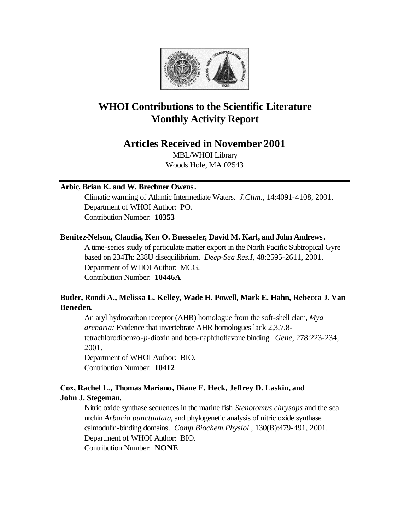

# **WHOI Contributions to the Scientific Literature Monthly Activity Report**

## **Articles Received in November 2001**

MBL/WHOI Library Woods Hole, MA 02543

## **Arbic, Brian K. and W. Brechner Owens.**

Climatic warming of Atlantic Intermediate Waters. *J.Clim.*, 14:4091-4108, 2001. Department of WHOI Author: PO. Contribution Number: **10353**

## **Benitez-Nelson, Claudia, Ken O. Buesseler, David M. Karl, and John Andrews.**

A time-series study of particulate matter export in the North Pacific Subtropical Gyre based on 234Th: 238U disequilibrium. *Deep-Sea Res.I*, 48:2595-2611, 2001. Department of WHOI Author: MCG. Contribution Number: **10446A**

## **Butler, Rondi A., Melissa L. Kelley, Wade H. Powell, Mark E. Hahn, Rebecca J. Van Beneden.**

An aryl hydrocarbon receptor (AHR) homologue from the soft-shell clam, *Mya arenaria:* Evidence that invertebrate AHR homologues lack 2,3,7,8 tetrachlorodibenzo-*p*-dioxin and beta-naphthoflavone binding. *Gene*, 278:223-234, 2001. Department of WHOI Author: BIO.

Contribution Number: **10412**

## **Cox, Rachel L., Thomas Mariano, Diane E. Heck, Jeffrey D. Laskin, and John J. Stegeman.**

Nitric oxide synthase sequences in the marine fish *Stenotomus chrysops* and the sea urchin *Arbacia punctualata*, and phylogenetic analysis of nitric oxide synthase calmodulin-binding domains. *Comp.Biochem.Physiol.*, 130(B):479-491, 2001. Department of WHOI Author: BIO. Contribution Number: **NONE**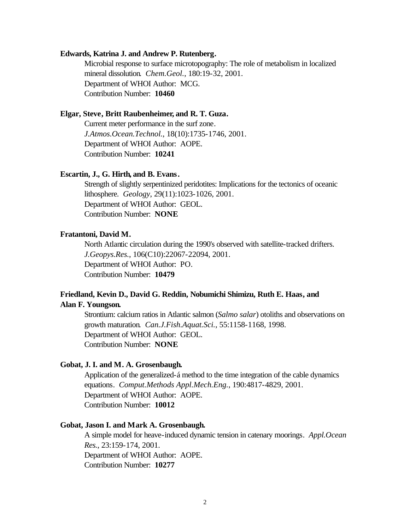#### **Edwards, Katrina J. and Andrew P. Rutenberg.**

Microbial response to surface microtopography: The role of metabolism in localized mineral dissolution. *Chem.Geol.*, 180:19-32, 2001. Department of WHOI Author: MCG. Contribution Number: **10460**

### **Elgar, Steve, Britt Raubenheimer, and R. T. Guza.**

Current meter performance in the surf zone. *J.Atmos.Ocean.Technol.*, 18(10):1735-1746, 2001. Department of WHOI Author: AOPE. Contribution Number: **10241**

#### **Escartin, J., G. Hirth, and B. Evans.**

Strength of slightly serpentinized peridotites: Implications for the tectonics of oceanic lithosphere. *Geology*, 29(11):1023-1026, 2001. Department of WHOI Author: GEOL. Contribution Number: **NONE**

#### **Fratantoni, David M.**

North Atlantic circulation during the 1990's observed with satellite-tracked drifters. *J.Geopys.Res.*, 106(C10):22067-22094, 2001. Department of WHOI Author: PO. Contribution Number: **10479**

## **Friedland, Kevin D., David G. Reddin, Nobumichi Shimizu, Ruth E. Haas, and Alan F. Youngson.**

Strontium: calcium ratios in Atlantic salmon (*Salmo salar*) otoliths and observations on growth maturation. *Can.J.Fish.Aquat.Sci.*, 55:1158-1168, 1998. Department of WHOI Author: GEOL. Contribution Number: **NONE**

#### **Gobat, J. I. and M. A. Grosenbaugh.**

Application of the generalized-á method to the time integration of the cable dynamics equations. *Comput.Methods Appl.Mech.Eng.*, 190:4817-4829, 2001. Department of WHOI Author: AOPE. Contribution Number: **10012**

#### **Gobat, Jason I. and Mark A. Grosenbaugh.**

A simple model for heave-induced dynamic tension in catenary moorings. *Appl.Ocean Res.*, 23:159-174, 2001. Department of WHOI Author: AOPE. Contribution Number: **10277**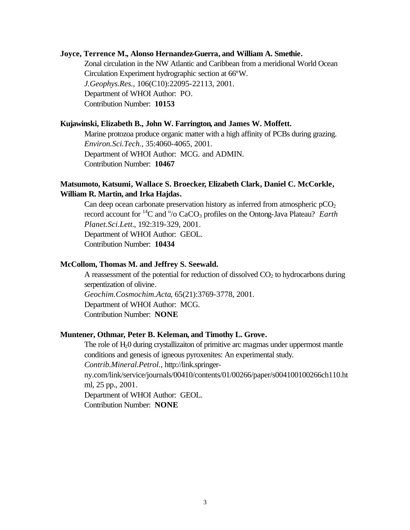#### **Joyce, Terrence M., Alonso Hernandez-Guerra, and William A. Smethie.**

Zonal circulation in the NW Atlantic and Caribbean from a meridional World Ocean Circulation Experiment hydrographic section at 66ºW. *J.Geophys.Res.*, 106(C10):22095-22113, 2001. Department of WHOI Author: PO. Contribution Number: **10153**

#### **Kujawinski, Elizabeth B., John W. Farrington, and James W. Moffett.**

Marine protozoa produce organic matter with a high affinity of PCBs during grazing. *Environ.Sci.Tech.*, 35:4060-4065, 2001. Department of WHOI Author: MCG. and ADMIN. Contribution Number: **10467**

## **Matsumoto, Katsumi, Wallace S. Broecker, Elizabeth Clark, Daniel C. McCorkle, William R. Martin, and Irka Hajdas.**

Can deep ocean carbonate preservation history as inferred from atmospheric  $pCO<sub>2</sub>$ record account for <sup>14</sup>C and <sup>o</sup>/o CaCO<sub>3</sub> profiles on the Ontong-Java Plateau? *Earth Planet.Sci.Lett.*, 192:319-329, 2001. Department of WHOI Author: GEOL. Contribution Number: **10434**

#### **McCollom, Thomas M. and Jeffrey S. Seewald.**

A reassessment of the potential for reduction of dissolved  $CO<sub>2</sub>$  to hydrocarbons during serpentization of olivine. *Geochim.Cosmochim.Acta*, 65(21):3769-3778, 2001. Department of WHOI Author: MCG. Contribution Number: **NONE**

#### **Muntener, Othmar, Peter B. Keleman, and Timothy L. Grove.**

The role of  $H_2$ 0 during crystallizaiton of primitive arc magmas under uppermost mantle conditions and genesis of igneous pyroxenites: An experimental study. *Contrib.Mineral.Petrol.*, http://link.springerny.com/link/service/journals/00410/contents/01/00266/paper/s004100100266ch110.ht ml, 25 pp., 2001. Department of WHOI Author: GEOL. Contribution Number: **NONE**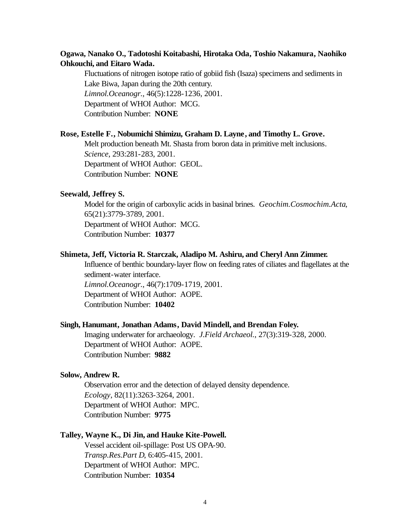## **Ogawa, Nanako O., Tadotoshi Koitabashi, Hirotaka Oda, Toshio Nakamura, Naohiko Ohkouchi, and Eitaro Wada.**

Fluctuations of nitrogen isotope ratio of gobiid fish (Isaza) specimens and sediments in Lake Biwa, Japan during the 20th century. *Limnol.Oceanogr.*, 46(5):1228-1236, 2001. Department of WHOI Author: MCG. Contribution Number: **NONE**

#### **Rose, Estelle F., Nobumichi Shimizu, Graham D. Layne, and Timothy L. Grove.**

Melt production beneath Mt. Shasta from boron data in primitive melt inclusions. *Science*, 293:281-283, 2001. Department of WHOI Author: GEOL. Contribution Number: **NONE**

#### **Seewald, Jeffrey S.**

Model for the origin of carboxylic acids in basinal brines. *Geochim.Cosmochim.Acta*, 65(21):3779-3789, 2001. Department of WHOI Author: MCG. Contribution Number: **10377**

#### **Shimeta, Jeff, Victoria R. Starczak, Aladipo M. Ashiru, and Cheryl Ann Zimmer.**

Influence of benthic boundary-layer flow on feeding rates of ciliates and flagellates at the sediment-water interface. *Limnol.Oceanogr.*, 46(7):1709-1719, 2001. Department of WHOI Author: AOPE. Contribution Number: **10402**

#### **Singh, Hanumant, Jonathan Adams, David Mindell, and Brendan Foley.**

Imaging underwater for archaeology. *J.Field Archaeol.*, 27(3):319-328, 2000. Department of WHOI Author: AOPE. Contribution Number: **9882**

#### **Solow, Andrew R.**

Observation error and the detection of delayed density dependence. *Ecology*, 82(11):3263-3264, 2001. Department of WHOI Author: MPC. Contribution Number: **9775**

#### **Talley, Wayne K., Di Jin, and Hauke Kite-Powell.**

Vessel accident oil-spillage: Post US OPA-90. *Transp.Res.Part D*, 6:405-415, 2001. Department of WHOI Author: MPC. Contribution Number: **10354**